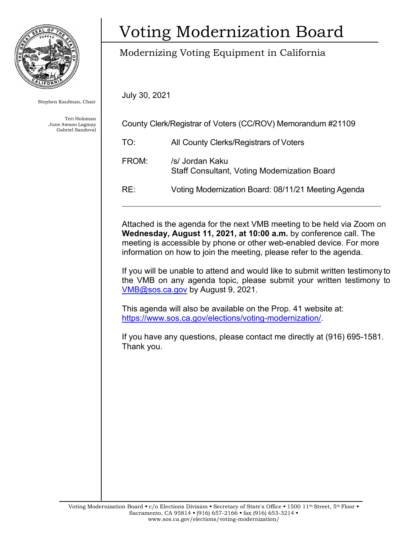

Stephen Kaufman, Chair

Teri Holoman June Awano Lagmay Gabriel Sandoval

# Voting Modernization Board

## Modernizing Voting Equipment in California

July 30, 2021

| County Clerk/Registrar of Voters (CC/ROV) Memorandum #21109 |                                                                        |
|-------------------------------------------------------------|------------------------------------------------------------------------|
| TO:                                                         | All County Clerks/Registrars of Voters                                 |
| FROM:                                                       | /s/ Jordan Kaku<br><b>Staff Consultant, Voting Modernization Board</b> |
| RE:                                                         | Voting Modernization Board: 08/11/21 Meeting Agenda                    |

Attached is the agenda for the next VMB meeting to be held via Zoom on **Wednesday, August 11, 2021, at 10:00 a.m.** by conference call. The meeting is accessible by phone or other web-enabled device. For more information on how to join the meeting, please refer to the agenda.

If you will be unable to attend and would like to submit written testimony to the VMB on any agenda topic, please submit your written testimony to [VMB@sos.ca.gov](mailto:VMB@sos.ca.gov) by August 9, 2021.

This agenda will also be available on the Prop. 41 website at: [https://www.sos.ca.gov/elections/voting-modernization/.](https://www.sos.ca.gov/elections/voting-modernization/)

If you have any questions, please contact me directly at (916) 695-1581. Thank you.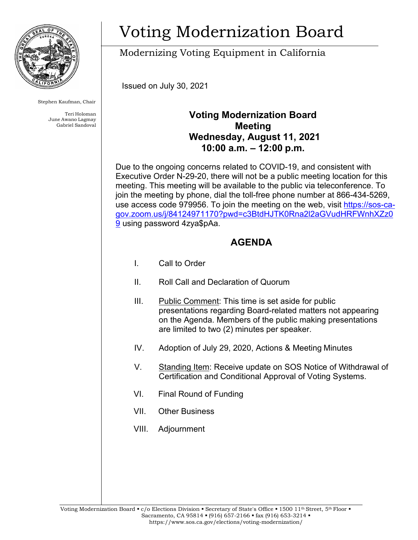

Stephen Kaufman, Chair

Teri Holoman June Awano Lagmay Gabriel Sandoval

# Voting Modernization Board

Modernizing Voting Equipment in California

Issued on July 30, 2021

### **Voting Modernization Board Meeting Wednesday, August 11, 2021 10:00 a.m. – 12:00 p.m.**

Due to the ongoing concerns related to COVID-19, and consistent with Executive Order N-29-20, there will not be a public meeting location for this meeting. This meeting will be available to the public via teleconference. To join the meeting by phone, dial the toll-free phone number at 866-434-5269, use access code 979956. To join the meeting on the web, visit [https://sos-ca](https://sos-ca-gov.zoom.us/j/84124971170?pwd=c3BtdHJTK0Rna2l2aGVudHRFWnhXZz09)[gov.zoom.us/j/84124971170?pwd=c3BtdHJTK0Rna2l2aGVudHRFWnhXZz0](https://sos-ca-gov.zoom.us/j/84124971170?pwd=c3BtdHJTK0Rna2l2aGVudHRFWnhXZz09) [9](https://sos-ca-gov.zoom.us/j/84124971170?pwd=c3BtdHJTK0Rna2l2aGVudHRFWnhXZz09) using password 4zya\$pAa.

### **AGENDA**

- I. Call to Order
- II. Roll Call and Declaration of Quorum
- III. Public Comment: This time is set aside for public presentations regarding Board-related matters not appearing on the Agenda. Members of the public making presentations are limited to two (2) minutes per speaker.
- IV. Adoption of July 29, 2020, Actions & Meeting Minutes
- V. Standing Item: Receive update on SOS Notice of Withdrawal of Certification and Conditional Approval of Voting Systems.
- VI. Final Round of Funding
- VII. Other Business
- VIII. Adjournment